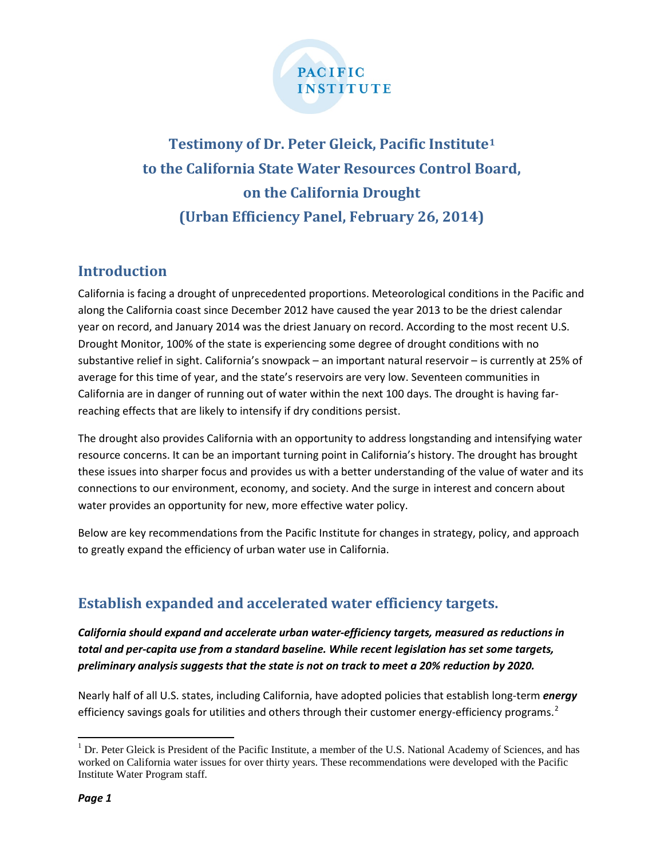

# **Testimony of Dr. Peter Gleick, Pacific Institute[1](#page-0-0) to the California State Water Resources Control Board, on the California Drought (Urban Efficiency Panel, February 26, 2014)**

# **Introduction**

California is facing a drought of unprecedented proportions. Meteorological conditions in the Pacific and along the California coast since December 2012 have caused the year 2013 to be the driest calendar year on record, and January 2014 was the driest January on record. According to the most recent U.S. Drought Monitor, 100% of the state is experiencing some degree of drought conditions with no substantive relief in sight. California's snowpack – an important natural reservoir – is currently at 25% of average for this time of year, and the state's reservoirs are very low. Seventeen communities in California are in danger of running out of water within the next 100 days. The drought is having farreaching effects that are likely to intensify if dry conditions persist.

The drought also provides California with an opportunity to address longstanding and intensifying water resource concerns. It can be an important turning point in California's history. The drought has brought these issues into sharper focus and provides us with a better understanding of the value of water and its connections to our environment, economy, and society. And the surge in interest and concern about water provides an opportunity for new, more effective water policy.

Below are key recommendations from the Pacific Institute for changes in strategy, policy, and approach to greatly expand the efficiency of urban water use in California.

# **Establish expanded and accelerated water efficiency targets.**

*California should expand and accelerate urban water-efficiency targets, measured as reductions in total and per-capita use from a standard baseline. While recent legislation has set some targets, preliminary analysis suggests that the state is not on track to meet a 20% reduction by 2020.*

Nearly half of all U.S. states, including California, have adopted policies that establish long-term *energy* efficiency savings goals for utilities and others through their customer energy-efficiency programs.<sup>[2](#page-0-1)</sup>

<span id="page-0-1"></span><span id="page-0-0"></span> $<sup>1</sup>$  Dr. Peter Gleick is President of the Pacific Institute, a member of the U.S. National Academy of Sciences, and has</sup> worked on California water issues for over thirty years. These recommendations were developed with the Pacific Institute Water Program staff.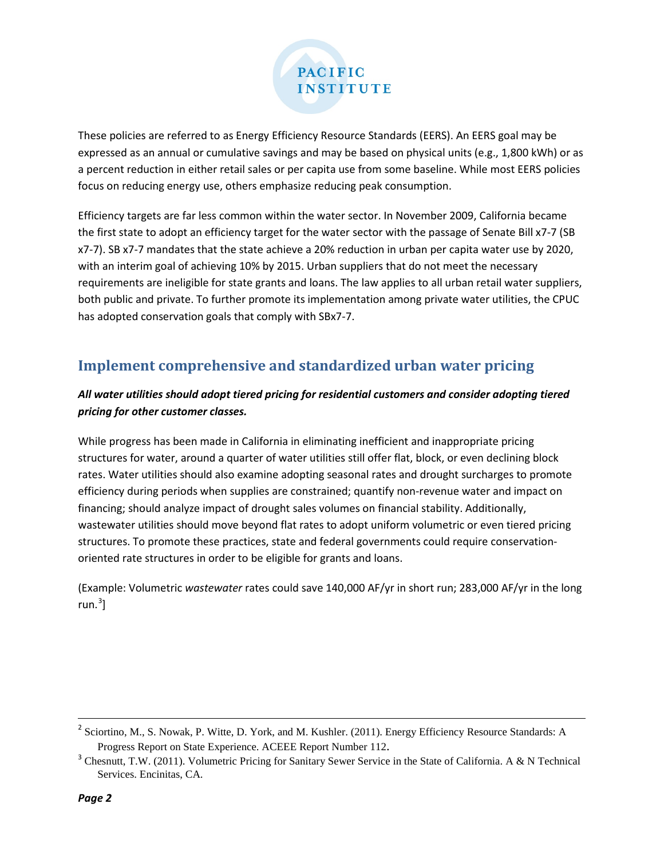

These policies are referred to as Energy Efficiency Resource Standards (EERS). An EERS goal may be expressed as an annual or cumulative savings and may be based on physical units (e.g., 1,800 kWh) or as a percent reduction in either retail sales or per capita use from some baseline. While most EERS policies focus on reducing energy use, others emphasize reducing peak consumption.

Efficiency targets are far less common within the water sector. In November 2009, California became the first state to adopt an efficiency target for the water sector with the passage of Senate Bill x7-7 (SB x7-7). SB x7-7 mandates that the state achieve a 20% reduction in urban per capita water use by 2020, with an interim goal of achieving 10% by 2015. Urban suppliers that do not meet the necessary requirements are ineligible for state grants and loans. The law applies to all urban retail water suppliers, both public and private. To further promote its implementation among private water utilities, the CPUC has adopted conservation goals that comply with SBx7-7.

# **Implement comprehensive and standardized urban water pricing**

### *All water utilities should adopt tiered pricing for residential customers and consider adopting tiered pricing for other customer classes.*

While progress has been made in California in eliminating inefficient and inappropriate pricing structures for water, around a quarter of water utilities still offer flat, block, or even declining block rates. Water utilities should also examine adopting seasonal rates and drought surcharges to promote efficiency during periods when supplies are constrained; quantify non-revenue water and impact on financing; should analyze impact of drought sales volumes on financial stability. Additionally, wastewater utilities should move beyond flat rates to adopt uniform volumetric or even tiered pricing structures. To promote these practices, state and federal governments could require conservationoriented rate structures in order to be eligible for grants and loans.

(Example: Volumetric *wastewater* rates could save 140,000 AF/yr in short run; 283,000 AF/yr in the long run. [3](#page-1-0) ]

 $2^2$  Sciortino, M., S. Nowak, P. Witte, D. York, and M. Kushler. (2011). Energy Efficiency Resource Standards: A Progress Report on State Experience. ACEEE Report Number 112.

<span id="page-1-0"></span><sup>&</sup>lt;sup>3</sup> Chesnutt, T.W. (2011). Volumetric Pricing for Sanitary Sewer Service in the State of California. A & N Technical Services. Encinitas, CA.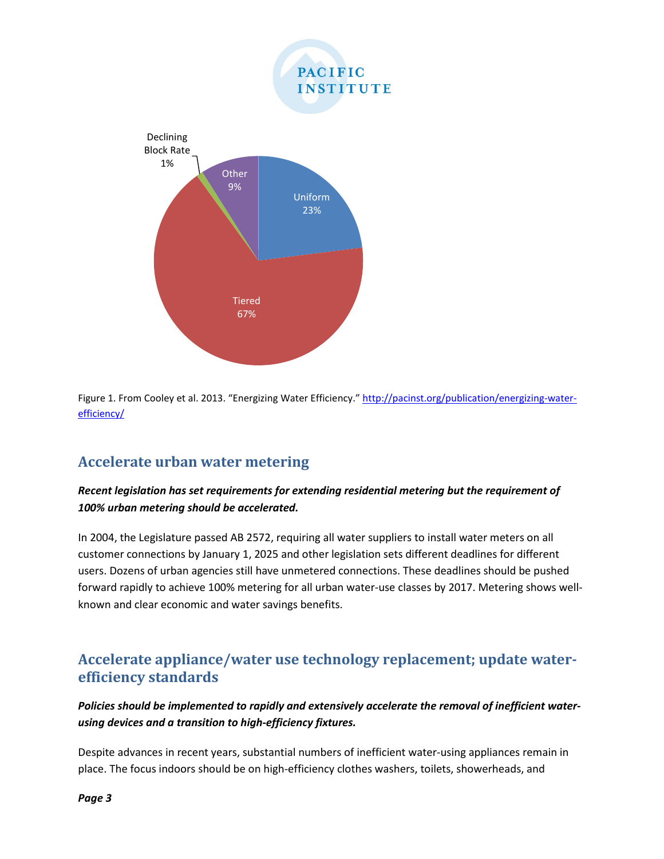

Figure 1. From Cooley et al. 2013. "Energizing Water Efficiency." [http://pacinst.org/publication/energizing-water](http://pacinst.org/publication/energizing-water-efficiency/)[efficiency/](http://pacinst.org/publication/energizing-water-efficiency/)

# **Accelerate urban water metering**

#### *Recent legislation has set requirements for extending residential metering but the requirement of 100% urban metering should be accelerated.*

In 2004, the Legislature passed AB 2572, requiring all water suppliers to install water meters on all customer connections by January 1, 2025 and other legislation sets different deadlines for different users. Dozens of urban agencies still have unmetered connections. These deadlines should be pushed forward rapidly to achieve 100% metering for all urban water-use classes by 2017. Metering shows wellknown and clear economic and water savings benefits.

# **Accelerate appliance/water use technology replacement; update waterefficiency standards**

### *Policies should be implemented to rapidly and extensively accelerate the removal of inefficient waterusing devices and a transition to high-efficiency fixtures.*

Despite advances in recent years, substantial numbers of inefficient water-using appliances remain in place. The focus indoors should be on high-efficiency clothes washers, toilets, showerheads, and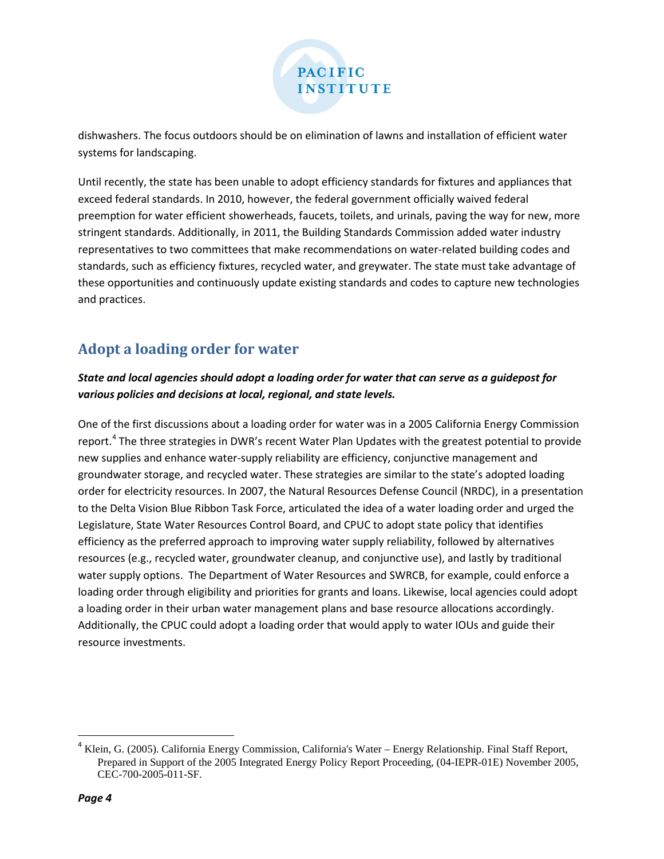

dishwashers. The focus outdoors should be on elimination of lawns and installation of efficient water systems for landscaping.

Until recently, the state has been unable to adopt efficiency standards for fixtures and appliances that exceed federal standards. In 2010, however, the federal government officially waived federal preemption for water efficient showerheads, faucets, toilets, and urinals, paving the way for new, more stringent standards. Additionally, in 2011, the Building Standards Commission added water industry representatives to two committees that make recommendations on water-related building codes and standards, such as efficiency fixtures, recycled water, and greywater. The state must take advantage of these opportunities and continuously update existing standards and codes to capture new technologies and practices.

# **Adopt a loading order for water**

### *State and local agencies should adopt a loading order for water that can serve as a guidepost for various policies and decisions at local, regional, and state levels.*

One of the first discussions about a loading order for water was in a 2005 California Energy Commission report.<sup>[4](#page-3-0)</sup> The three strategies in DWR's recent Water Plan Updates with the greatest potential to provide new supplies and enhance water-supply reliability are efficiency, conjunctive management and groundwater storage, and recycled water. These strategies are similar to the state's adopted loading order for electricity resources. In 2007, the Natural Resources Defense Council (NRDC), in a presentation to the Delta Vision Blue Ribbon Task Force, articulated the idea of a water loading order and urged the Legislature, State Water Resources Control Board, and CPUC to adopt state policy that identifies efficiency as the preferred approach to improving water supply reliability, followed by alternatives resources (e.g., recycled water, groundwater cleanup, and conjunctive use), and lastly by traditional water supply options. The Department of Water Resources and SWRCB, for example, could enforce a loading order through eligibility and priorities for grants and loans. Likewise, local agencies could adopt a loading order in their urban water management plans and base resource allocations accordingly. Additionally, the CPUC could adopt a loading order that would apply to water IOUs and guide their resource investments.

<span id="page-3-0"></span> $4$  Klein, G. (2005). California Energy Commission, California's Water – Energy Relationship. Final Staff Report, Prepared in Support of the 2005 Integrated Energy Policy Report Proceeding, (04-IEPR-01E) November 2005, CEC-700-2005-011-SF.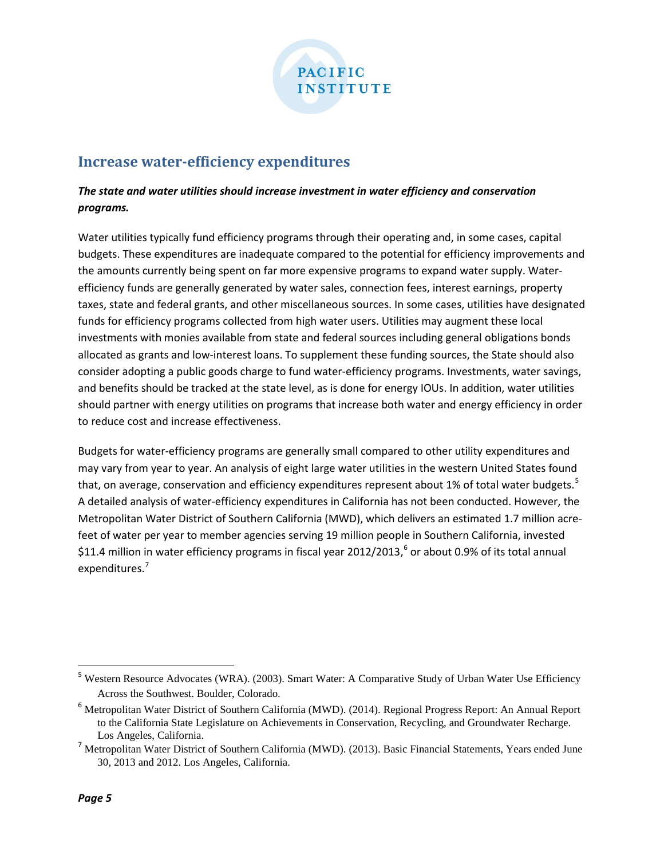

### **Increase water-efficiency expenditures**

### *The state and water utilities should increase investment in water efficiency and conservation programs.*

Water utilities typically fund efficiency programs through their operating and, in some cases, capital budgets. These expenditures are inadequate compared to the potential for efficiency improvements and the amounts currently being spent on far more expensive programs to expand water supply. Waterefficiency funds are generally generated by water sales, connection fees, interest earnings, property taxes, state and federal grants, and other miscellaneous sources. In some cases, utilities have designated funds for efficiency programs collected from high water users. Utilities may augment these local investments with monies available from state and federal sources including general obligations bonds allocated as grants and low-interest loans. To supplement these funding sources, the State should also consider adopting a public goods charge to fund water-efficiency programs. Investments, water savings, and benefits should be tracked at the state level, as is done for energy IOUs. In addition, water utilities should partner with energy utilities on programs that increase both water and energy efficiency in order to reduce cost and increase effectiveness.

Budgets for water-efficiency programs are generally small compared to other utility expenditures and may vary from year to year. An analysis of eight large water utilities in the western United States found that, on average, conservation and efficiency expenditures represent about 1% of total water budgets.<sup>[5](#page-4-0)</sup> A detailed analysis of water-efficiency expenditures in California has not been conducted. However, the Metropolitan Water District of Southern California (MWD), which delivers an estimated 1.7 million acrefeet of water per year to member agencies serving 19 million people in Southern California, invested \$11.4 million in water efficiency programs in fiscal year 2012/2013,<sup>[6](#page-4-1)</sup> or about 0.9% of its total annual expenditures.<sup>[7](#page-4-2)</sup>

<span id="page-4-0"></span><sup>&</sup>lt;sup>5</sup> Western Resource Advocates (WRA). (2003). Smart Water: A Comparative Study of Urban Water Use Efficiency Across the Southwest. Boulder, Colorado.

<span id="page-4-1"></span><sup>&</sup>lt;sup>6</sup> Metropolitan Water District of Southern California (MWD). (2014). Regional Progress Report: An Annual Report to the California State Legislature on Achievements in Conservation, Recycling, and Groundwater Recharge. Los Angeles, California.

<span id="page-4-2"></span><sup>&</sup>lt;sup>7</sup> Metropolitan Water District of Southern California (MWD). (2013). Basic Financial Statements, Years ended June 30, 2013 and 2012. Los Angeles, California.